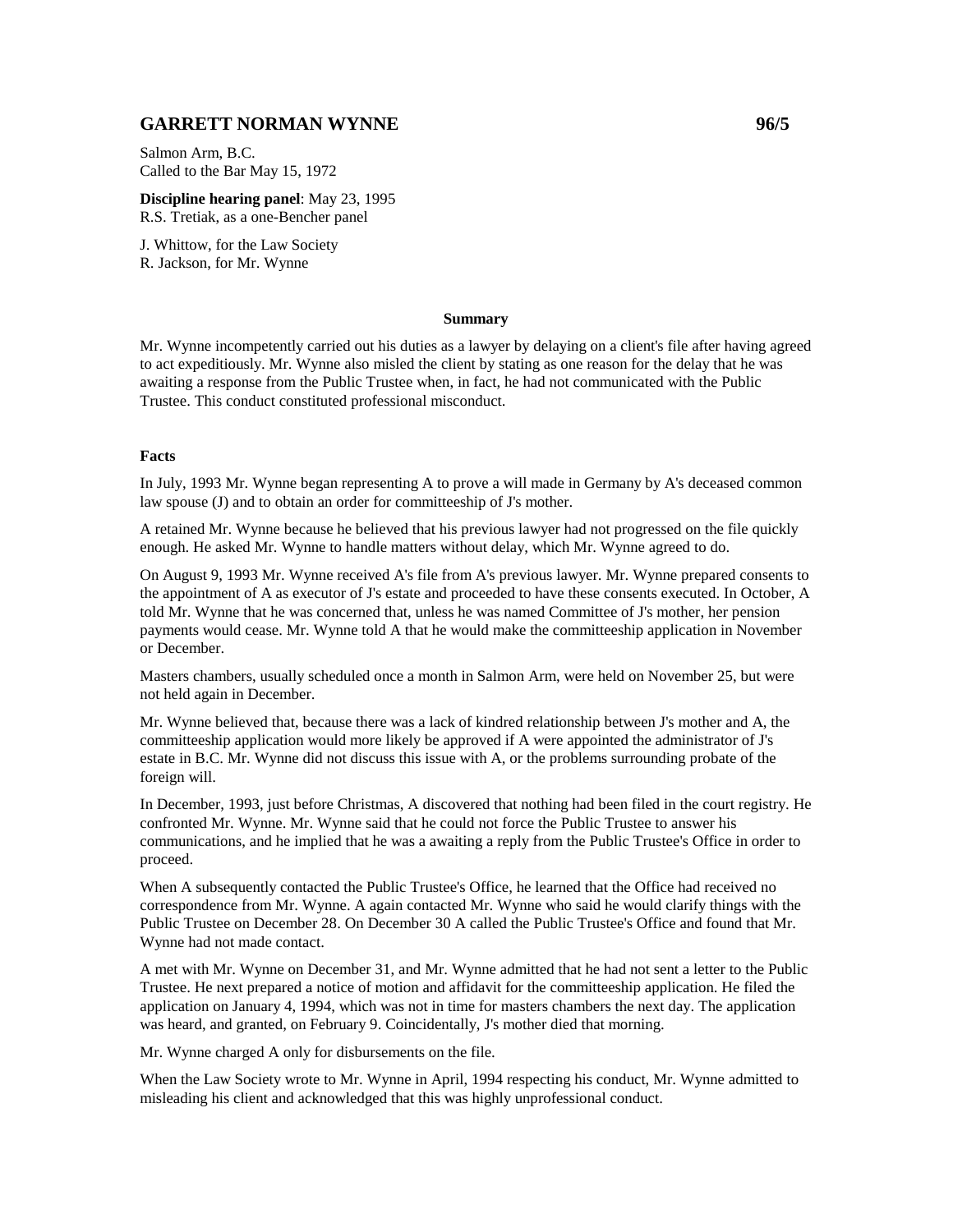# **GARRETT NORMAN WYNNE** 2007 2007 2008 2009

Salmon Arm, B.C. Called to the Bar May 15, 1972

**Discipline hearing panel**: May 23, 1995 R.S. Tretiak, as a one-Bencher panel

J. Whittow, for the Law Society R. Jackson, for Mr. Wynne

### **Summary**

Mr. Wynne incompetently carried out his duties as a lawyer by delaying on a client's file after having agreed to act expeditiously. Mr. Wynne also misled the client by stating as one reason for the delay that he was awaiting a response from the Public Trustee when, in fact, he had not communicated with the Public Trustee. This conduct constituted professional misconduct.

#### **Facts**

In July, 1993 Mr. Wynne began representing A to prove a will made in Germany by A's deceased common law spouse (J) and to obtain an order for committeeship of J's mother.

A retained Mr. Wynne because he believed that his previous lawyer had not progressed on the file quickly enough. He asked Mr. Wynne to handle matters without delay, which Mr. Wynne agreed to do.

On August 9, 1993 Mr. Wynne received A's file from A's previous lawyer. Mr. Wynne prepared consents to the appointment of A as executor of J's estate and proceeded to have these consents executed. In October, A told Mr. Wynne that he was concerned that, unless he was named Committee of J's mother, her pension payments would cease. Mr. Wynne told A that he would make the committeeship application in November or December.

Masters chambers, usually scheduled once a month in Salmon Arm, were held on November 25, but were not held again in December.

Mr. Wynne believed that, because there was a lack of kindred relationship between J's mother and A, the committeeship application would more likely be approved if A were appointed the administrator of J's estate in B.C. Mr. Wynne did not discuss this issue with A, or the problems surrounding probate of the foreign will.

In December, 1993, just before Christmas, A discovered that nothing had been filed in the court registry. He confronted Mr. Wynne. Mr. Wynne said that he could not force the Public Trustee to answer his communications, and he implied that he was a awaiting a reply from the Public Trustee's Office in order to proceed.

When A subsequently contacted the Public Trustee's Office, he learned that the Office had received no correspondence from Mr. Wynne. A again contacted Mr. Wynne who said he would clarify things with the Public Trustee on December 28. On December 30 A called the Public Trustee's Office and found that Mr. Wynne had not made contact.

A met with Mr. Wynne on December 31, and Mr. Wynne admitted that he had not sent a letter to the Public Trustee. He next prepared a notice of motion and affidavit for the committeeship application. He filed the application on January 4, 1994, which was not in time for masters chambers the next day. The application was heard, and granted, on February 9. Coincidentally, J's mother died that morning.

Mr. Wynne charged A only for disbursements on the file.

When the Law Society wrote to Mr. Wynne in April, 1994 respecting his conduct, Mr. Wynne admitted to misleading his client and acknowledged that this was highly unprofessional conduct.